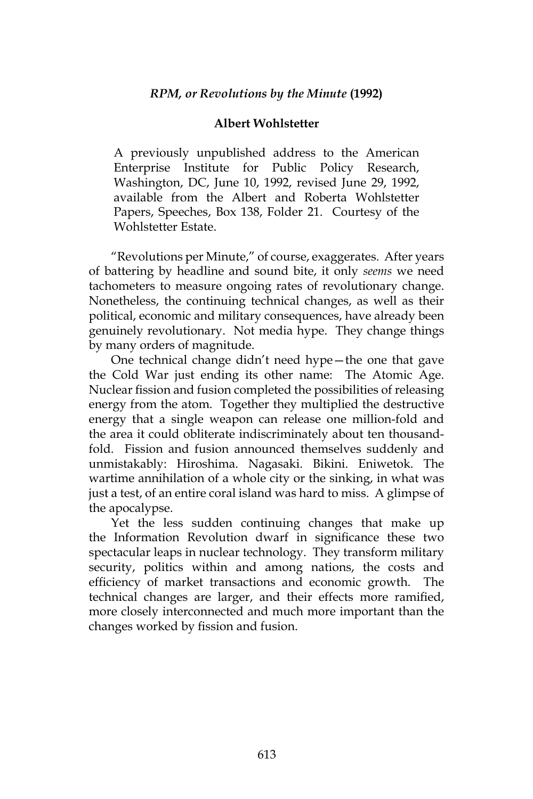## **Albert Wohlstetter**

A previously unpublished address to the American Enterprise Institute for Public Policy Research, Washington, DC, June 10, 1992, revised June 29, 1992, available from the Albert and Roberta Wohlstetter Papers, Speeches, Box 138, Folder 21. Courtesy of the Wohlstetter Estate.

"Revolutions per Minute," of course, exaggerates. After years of battering by headline and sound bite, it only *seems* we need tachometers to measure ongoing rates of revolutionary change. Nonetheless, the continuing technical changes, as well as their political, economic and military consequences, have already been genuinely revolutionary. Not media hype. They change things by many orders of magnitude.

One technical change didn't need hype—the one that gave the Cold War just ending its other name: The Atomic Age. Nuclear fission and fusion completed the possibilities of releasing energy from the atom. Together they multiplied the destructive energy that a single weapon can release one million-fold and the area it could obliterate indiscriminately about ten thousandfold. Fission and fusion announced themselves suddenly and unmistakably: Hiroshima. Nagasaki. Bikini. Eniwetok. The wartime annihilation of a whole city or the sinking, in what was just a test, of an entire coral island was hard to miss. A glimpse of the apocalypse.

Yet the less sudden continuing changes that make up the Information Revolution dwarf in significance these two spectacular leaps in nuclear technology. They transform military security, politics within and among nations, the costs and efficiency of market transactions and economic growth. The technical changes are larger, and their effects more ramified, more closely interconnected and much more important than the changes worked by fission and fusion.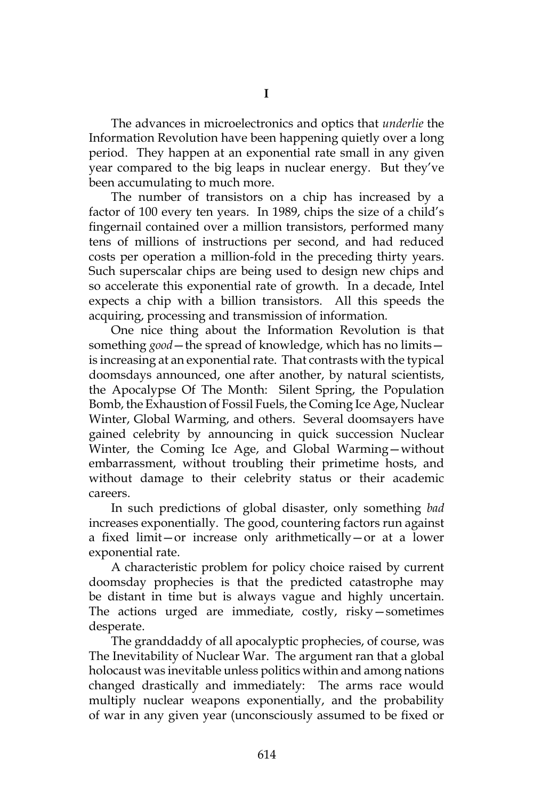The advances in microelectronics and optics that *underlie* the Information Revolution have been happening quietly over a long period. They happen at an exponential rate small in any given year compared to the big leaps in nuclear energy. But they've been accumulating to much more.

The number of transistors on a chip has increased by a factor of 100 every ten years. In 1989, chips the size of a child's fingernail contained over a million transistors, performed many tens of millions of instructions per second, and had reduced costs per operation a million-fold in the preceding thirty years. Such superscalar chips are being used to design new chips and so accelerate this exponential rate of growth. In a decade, Intel expects a chip with a billion transistors. All this speeds the acquiring, processing and transmission of information.

One nice thing about the Information Revolution is that something *good*—the spread of knowledge, which has no limits is increasing at an exponential rate. That contrasts with the typical doomsdays announced, one after another, by natural scientists, the Apocalypse Of The Month: Silent Spring, the Population Bomb, the Exhaustion of Fossil Fuels, the Coming Ice Age, Nuclear Winter, Global Warming, and others. Several doomsayers have gained celebrity by announcing in quick succession Nuclear Winter, the Coming Ice Age, and Global Warming—without embarrassment, without troubling their primetime hosts, and without damage to their celebrity status or their academic careers.

In such predictions of global disaster, only something *bad* increases exponentially. The good, countering factors run against a fixed limit—or increase only arithmetically—or at a lower exponential rate.

A characteristic problem for policy choice raised by current doomsday prophecies is that the predicted catastrophe may be distant in time but is always vague and highly uncertain. The actions urged are immediate, costly, risky—sometimes desperate.

The granddaddy of all apocalyptic prophecies, of course, was The Inevitability of Nuclear War. The argument ran that a global holocaust was inevitable unless politics within and among nations changed drastically and immediately: The arms race would multiply nuclear weapons exponentially, and the probability of war in any given year (unconsciously assumed to be fixed or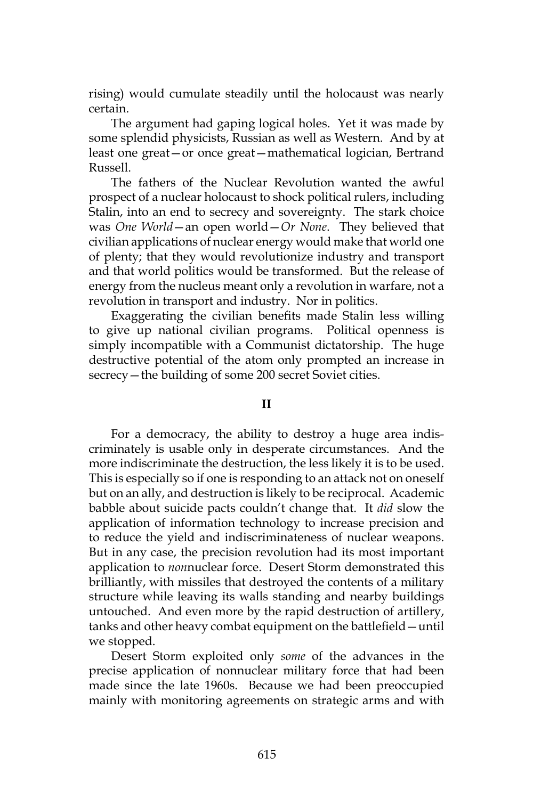rising) would cumulate steadily until the holocaust was nearly certain.

The argument had gaping logical holes. Yet it was made by some splendid physicists, Russian as well as Western. And by at least one great—or once great—mathematical logician, Bertrand Russell.

The fathers of the Nuclear Revolution wanted the awful prospect of a nuclear holocaust to shock political rulers, including Stalin, into an end to secrecy and sovereignty. The stark choice was *One World*—an open world—*Or None*. They believed that civilian applications of nuclear energy would make that world one of plenty; that they would revolutionize industry and transport and that world politics would be transformed. But the release of energy from the nucleus meant only a revolution in warfare, not a revolution in transport and industry. Nor in politics.

Exaggerating the civilian benefits made Stalin less willing to give up national civilian programs. Political openness is simply incompatible with a Communist dictatorship. The huge destructive potential of the atom only prompted an increase in secrecy—the building of some 200 secret Soviet cities.

## **II**

For a democracy, the ability to destroy a huge area indiscriminately is usable only in desperate circumstances. And the more indiscriminate the destruction, the less likely it is to be used. This is especially so if one is responding to an attack not on oneself but on an ally, and destruction is likely to be reciprocal. Academic babble about suicide pacts couldn't change that. It *did* slow the application of information technology to increase precision and to reduce the yield and indiscriminateness of nuclear weapons. But in any case, the precision revolution had its most important application to *non*nuclear force. Desert Storm demonstrated this brilliantly, with missiles that destroyed the contents of a military structure while leaving its walls standing and nearby buildings untouched. And even more by the rapid destruction of artillery, tanks and other heavy combat equipment on the battlefield—until we stopped.

Desert Storm exploited only *some* of the advances in the precise application of nonnuclear military force that had been made since the late 1960s. Because we had been preoccupied mainly with monitoring agreements on strategic arms and with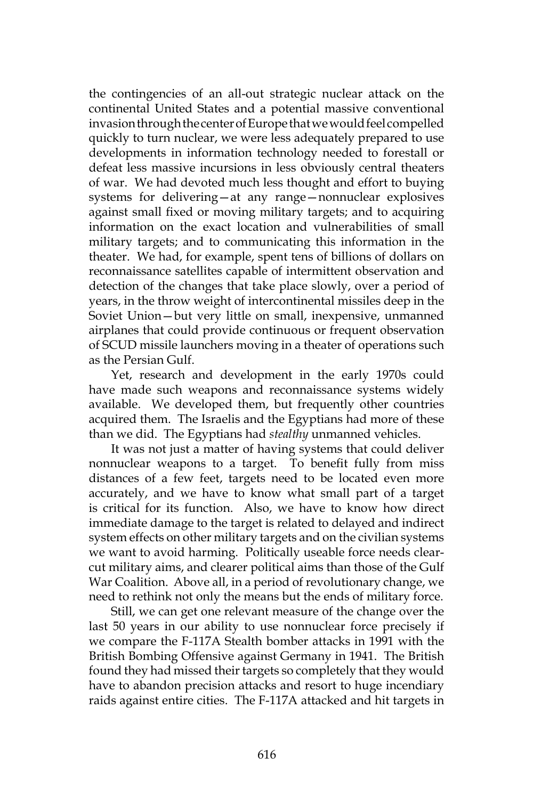the contingencies of an all-out strategic nuclear attack on the continental United States and a potential massive conventional invasion through the center of Europe that we would feel compelled quickly to turn nuclear, we were less adequately prepared to use developments in information technology needed to forestall or defeat less massive incursions in less obviously central theaters of war. We had devoted much less thought and effort to buying systems for delivering—at any range—nonnuclear explosives against small fixed or moving military targets; and to acquiring information on the exact location and vulnerabilities of small military targets; and to communicating this information in the theater. We had, for example, spent tens of billions of dollars on reconnaissance satellites capable of intermittent observation and detection of the changes that take place slowly, over a period of years, in the throw weight of intercontinental missiles deep in the Soviet Union—but very little on small, inexpensive, unmanned airplanes that could provide continuous or frequent observation of SCUD missile launchers moving in a theater of operations such as the Persian Gulf.

Yet, research and development in the early 1970s could have made such weapons and reconnaissance systems widely available. We developed them, but frequently other countries acquired them. The Israelis and the Egyptians had more of these than we did. The Egyptians had *stealthy* unmanned vehicles.

It was not just a matter of having systems that could deliver nonnuclear weapons to a target. To benefit fully from miss distances of a few feet, targets need to be located even more accurately, and we have to know what small part of a target is critical for its function. Also, we have to know how direct immediate damage to the target is related to delayed and indirect system effects on other military targets and on the civilian systems we want to avoid harming. Politically useable force needs clearcut military aims, and clearer political aims than those of the Gulf War Coalition. Above all, in a period of revolutionary change, we need to rethink not only the means but the ends of military force.

Still, we can get one relevant measure of the change over the last 50 years in our ability to use nonnuclear force precisely if we compare the F-117A Stealth bomber attacks in 1991 with the British Bombing Offensive against Germany in 1941. The British found they had missed their targets so completely that they would have to abandon precision attacks and resort to huge incendiary raids against entire cities. The F-117A attacked and hit targets in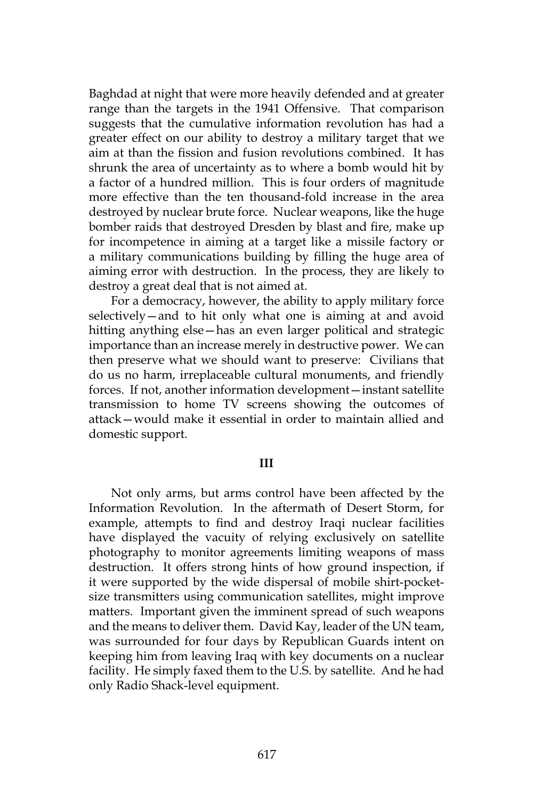Baghdad at night that were more heavily defended and at greater range than the targets in the 1941 Offensive. That comparison suggests that the cumulative information revolution has had a greater effect on our ability to destroy a military target that we aim at than the fission and fusion revolutions combined. It has shrunk the area of uncertainty as to where a bomb would hit by a factor of a hundred million. This is four orders of magnitude more effective than the ten thousand-fold increase in the area destroyed by nuclear brute force. Nuclear weapons, like the huge bomber raids that destroyed Dresden by blast and fire, make up for incompetence in aiming at a target like a missile factory or a military communications building by filling the huge area of aiming error with destruction. In the process, they are likely to destroy a great deal that is not aimed at.

For a democracy, however, the ability to apply military force selectively—and to hit only what one is aiming at and avoid hitting anything else—has an even larger political and strategic importance than an increase merely in destructive power. We can then preserve what we should want to preserve: Civilians that do us no harm, irreplaceable cultural monuments, and friendly forces. If not, another information development—instant satellite transmission to home TV screens showing the outcomes of attack—would make it essential in order to maintain allied and domestic support.

## **III**

Not only arms, but arms control have been affected by the Information Revolution. In the aftermath of Desert Storm, for example, attempts to find and destroy Iraqi nuclear facilities have displayed the vacuity of relying exclusively on satellite photography to monitor agreements limiting weapons of mass destruction. It offers strong hints of how ground inspection, if it were supported by the wide dispersal of mobile shirt-pocketsize transmitters using communication satellites, might improve matters. Important given the imminent spread of such weapons and the means to deliver them. David Kay, leader of the UN team, was surrounded for four days by Republican Guards intent on keeping him from leaving Iraq with key documents on a nuclear facility. He simply faxed them to the U.S. by satellite. And he had only Radio Shack-level equipment.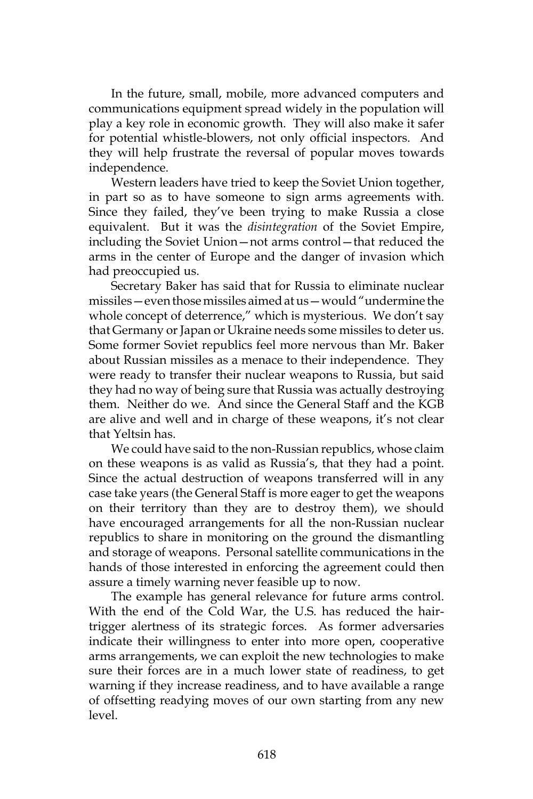In the future, small, mobile, more advanced computers and communications equipment spread widely in the population will play a key role in economic growth. They will also make it safer for potential whistle-blowers, not only official inspectors. And they will help frustrate the reversal of popular moves towards independence.

Western leaders have tried to keep the Soviet Union together, in part so as to have someone to sign arms agreements with. Since they failed, they've been trying to make Russia a close equivalent. But it was the *disintegration* of the Soviet Empire, including the Soviet Union—not arms control—that reduced the arms in the center of Europe and the danger of invasion which had preoccupied us.

Secretary Baker has said that for Russia to eliminate nuclear missiles—even those missiles aimed at us—would "undermine the whole concept of deterrence," which is mysterious. We don't say that Germany or Japan or Ukraine needs some missiles to deter us. Some former Soviet republics feel more nervous than Mr. Baker about Russian missiles as a menace to their independence. They were ready to transfer their nuclear weapons to Russia, but said they had no way of being sure that Russia was actually destroying them. Neither do we. And since the General Staff and the KGB are alive and well and in charge of these weapons, it's not clear that Yeltsin has.

We could have said to the non-Russian republics, whose claim on these weapons is as valid as Russia's, that they had a point. Since the actual destruction of weapons transferred will in any case take years (the General Staff is more eager to get the weapons on their territory than they are to destroy them), we should have encouraged arrangements for all the non-Russian nuclear republics to share in monitoring on the ground the dismantling and storage of weapons. Personal satellite communications in the hands of those interested in enforcing the agreement could then assure a timely warning never feasible up to now.

The example has general relevance for future arms control. With the end of the Cold War, the U.S. has reduced the hairtrigger alertness of its strategic forces. As former adversaries indicate their willingness to enter into more open, cooperative arms arrangements, we can exploit the new technologies to make sure their forces are in a much lower state of readiness, to get warning if they increase readiness, and to have available a range of offsetting readying moves of our own starting from any new level.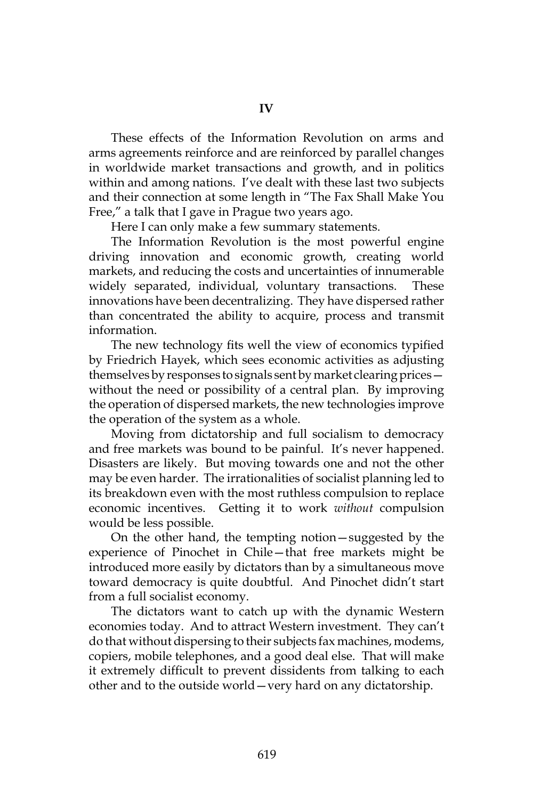These effects of the Information Revolution on arms and arms agreements reinforce and are reinforced by parallel changes in worldwide market transactions and growth, and in politics within and among nations. I've dealt with these last two subjects and their connection at some length in "The Fax Shall Make You

Free," a talk that I gave in Prague two years ago. Here I can only make a few summary statements.

The Information Revolution is the most powerful engine driving innovation and economic growth, creating world markets, and reducing the costs and uncertainties of innumerable widely separated, individual, voluntary transactions. These innovations have been decentralizing. They have dispersed rather than concentrated the ability to acquire, process and transmit information.

The new technology fits well the view of economics typified by Friedrich Hayek, which sees economic activities as adjusting themselves by responses to signals sent by market clearing prices without the need or possibility of a central plan. By improving the operation of dispersed markets, the new technologies improve the operation of the system as a whole.

Moving from dictatorship and full socialism to democracy and free markets was bound to be painful. It's never happened. Disasters are likely. But moving towards one and not the other may be even harder. The irrationalities of socialist planning led to its breakdown even with the most ruthless compulsion to replace economic incentives. Getting it to work *without* compulsion would be less possible.

On the other hand, the tempting notion—suggested by the experience of Pinochet in Chile—that free markets might be introduced more easily by dictators than by a simultaneous move toward democracy is quite doubtful. And Pinochet didn't start from a full socialist economy.

The dictators want to catch up with the dynamic Western economies today. And to attract Western investment. They can't do that without dispersing to their subjects fax machines, modems, copiers, mobile telephones, and a good deal else. That will make it extremely difficult to prevent dissidents from talking to each other and to the outside world—very hard on any dictatorship.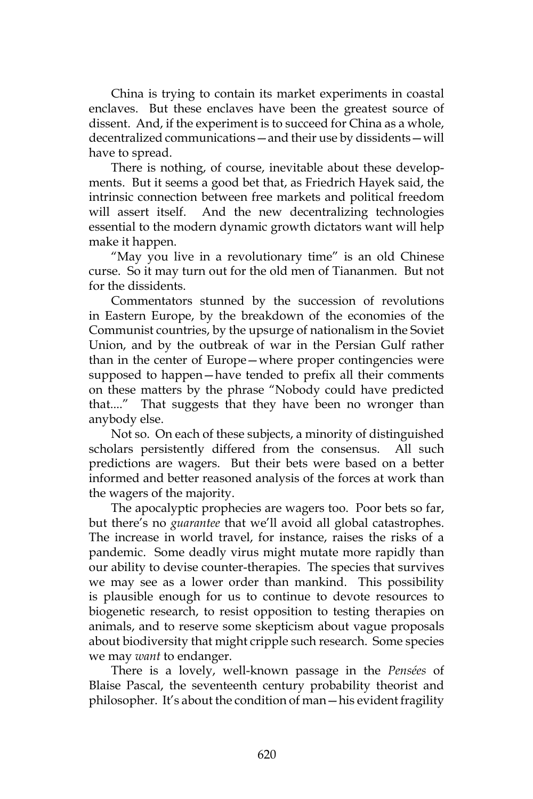China is trying to contain its market experiments in coastal enclaves. But these enclaves have been the greatest source of dissent. And, if the experiment is to succeed for China as a whole, decentralized communications—and their use by dissidents—will have to spread.

There is nothing, of course, inevitable about these developments. But it seems a good bet that, as Friedrich Hayek said, the intrinsic connection between free markets and political freedom will assert itself. And the new decentralizing technologies essential to the modern dynamic growth dictators want will help make it happen.

"May you live in a revolutionary time" is an old Chinese curse. So it may turn out for the old men of Tiananmen. But not for the dissidents.

Commentators stunned by the succession of revolutions in Eastern Europe, by the breakdown of the economies of the Communist countries, by the upsurge of nationalism in the Soviet Union, and by the outbreak of war in the Persian Gulf rather than in the center of Europe—where proper contingencies were supposed to happen—have tended to prefix all their comments on these matters by the phrase "Nobody could have predicted that...." That suggests that they have been no wronger than anybody else.

Not so. On each of these subjects, a minority of distinguished scholars persistently differed from the consensus. All such predictions are wagers. But their bets were based on a better informed and better reasoned analysis of the forces at work than the wagers of the majority.

The apocalyptic prophecies are wagers too. Poor bets so far, but there's no *guarantee* that we'll avoid all global catastrophes. The increase in world travel, for instance, raises the risks of a pandemic. Some deadly virus might mutate more rapidly than our ability to devise counter-therapies. The species that survives we may see as a lower order than mankind. This possibility is plausible enough for us to continue to devote resources to biogenetic research, to resist opposition to testing therapies on animals, and to reserve some skepticism about vague proposals about biodiversity that might cripple such research. Some species we may *want* to endanger.

There is a lovely, well-known passage in the *Pensées* of Blaise Pascal, the seventeenth century probability theorist and philosopher. It's about the condition of man—his evident fragility